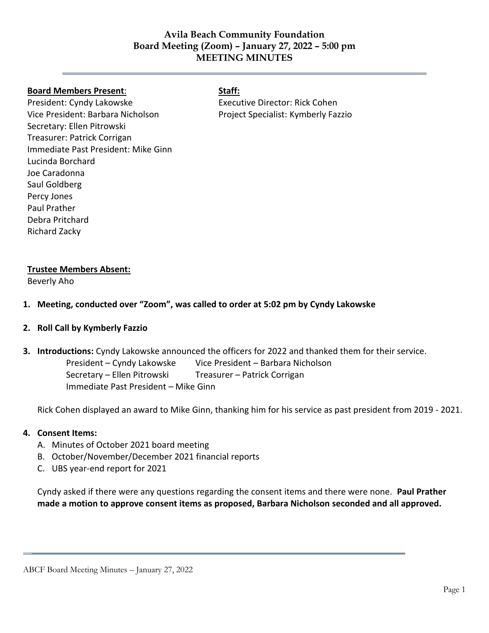# **Avila Beach Community Foundation Board Meeting (Zoom) – January 27, 2022 – 5:00 pm MEETING MINUTES**

**\_\_\_\_\_\_\_\_\_\_\_\_\_\_\_\_\_\_\_\_\_\_\_\_\_\_\_\_\_\_\_\_\_\_\_\_\_\_\_\_\_\_\_\_\_\_\_\_\_\_\_\_\_\_\_\_\_\_\_\_\_\_\_\_\_\_\_\_\_\_\_\_\_\_\_\_**

#### **Board Members Present**: **Staff:**

President: Cyndy Lakowske Vice President: Barbara Nicholson Secretary: Ellen Pitrowski Treasurer: Patrick Corrigan Immediate Past President: Mike Ginn Lucinda Borchard Joe Caradonna Saul Goldberg Percy Jones Paul Prather Debra Pritchard Richard Zacky

Executive Director: Rick Cohen Project Specialist: Kymberly Fazzio

#### **Trustee Members Absent:**

Beverly Aho

- **1. Meeting, conducted over "Zoom", was called to order at 5:02 pm by Cyndy Lakowske**
- **2. Roll Call by Kymberly Fazzio**
- **3. Introductions:** Cyndy Lakowske announced the officers for 2022 and thanked them for their service. President – Cyndy Lakowske Vice President – Barbara Nicholson Secretary – Ellen Pitrowski Treasurer – Patrick Corrigan Immediate Past President – Mike Ginn

Rick Cohen displayed an award to Mike Ginn, thanking him for his service as past president from 2019 - 2021.

### **4. Consent Items:**

- A. Minutes of October 2021 board meeting
- B. October/November/December 2021 financial reports
- C. UBS year-end report for 2021

Cyndy asked if there were any questions regarding the consent items and there were none. **Paul Prather made a motion to approve consent items as proposed, Barbara Nicholson seconded and all approved.** 

 $\overline{\phantom{a}}$  ,  $\overline{\phantom{a}}$  ,  $\overline{\phantom{a}}$  ,  $\overline{\phantom{a}}$  ,  $\overline{\phantom{a}}$  ,  $\overline{\phantom{a}}$  ,  $\overline{\phantom{a}}$  ,  $\overline{\phantom{a}}$  ,  $\overline{\phantom{a}}$  ,  $\overline{\phantom{a}}$  ,  $\overline{\phantom{a}}$  ,  $\overline{\phantom{a}}$  ,  $\overline{\phantom{a}}$  ,  $\overline{\phantom{a}}$  ,  $\overline{\phantom{a}}$  ,  $\overline{\phantom{a}}$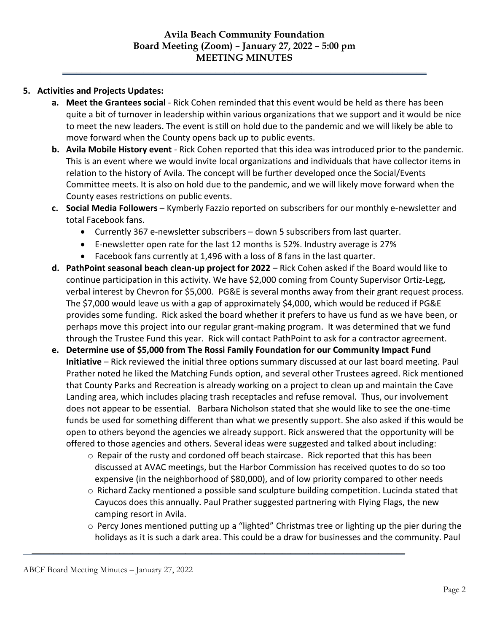**\_\_\_\_\_\_\_\_\_\_\_\_\_\_\_\_\_\_\_\_\_\_\_\_\_\_\_\_\_\_\_\_\_\_\_\_\_\_\_\_\_\_\_\_\_\_\_\_\_\_\_\_\_\_\_\_\_\_\_\_\_\_\_\_\_\_\_\_\_\_\_\_\_\_\_\_**

# **5. Activities and Projects Updates:**

- **a. Meet the Grantees social** Rick Cohen reminded that this event would be held as there has been quite a bit of turnover in leadership within various organizations that we support and it would be nice to meet the new leaders. The event is still on hold due to the pandemic and we will likely be able to move forward when the County opens back up to public events.
- **b. Avila Mobile History event** Rick Cohen reported that this idea was introduced prior to the pandemic. This is an event where we would invite local organizations and individuals that have collector items in relation to the history of Avila. The concept will be further developed once the Social/Events Committee meets. It is also on hold due to the pandemic, and we will likely move forward when the County eases restrictions on public events.
- **c. Social Media Followers**  Kymberly Fazzio reported on subscribers for our monthly e-newsletter and total Facebook fans.
	- Currently 367 e-newsletter subscribers down 5 subscribers from last quarter.
	- E-newsletter open rate for the last 12 months is 52%. Industry average is 27%
	- Facebook fans currently at 1,496 with a loss of 8 fans in the last quarter.
- **d. PathPoint seasonal beach clean-up project for 2022**  Rick Cohen asked if the Board would like to continue participation in this activity. We have \$2,000 coming from County Supervisor Ortiz-Legg, verbal interest by Chevron for \$5,000. PG&E is several months away from their grant request process. The \$7,000 would leave us with a gap of approximately \$4,000, which would be reduced if PG&E provides some funding. Rick asked the board whether it prefers to have us fund as we have been, or perhaps move this project into our regular grant-making program. It was determined that we fund through the Trustee Fund this year. Rick will contact PathPoint to ask for a contractor agreement.
- **e. Determine use of \$5,000 from The Rossi Family Foundation for our Community Impact Fund Initiative** – Rick reviewed the initial three options summary discussed at our last board meeting. Paul Prather noted he liked the Matching Funds option, and several other Trustees agreed. Rick mentioned that County Parks and Recreation is already working on a project to clean up and maintain the Cave Landing area, which includes placing trash receptacles and refuse removal. Thus, our involvement does not appear to be essential. Barbara Nicholson stated that she would like to see the one-time funds be used for something different than what we presently support. She also asked if this would be open to others beyond the agencies we already support. Rick answered that the opportunity will be offered to those agencies and others. Several ideas were suggested and talked about including:
	- o Repair of the rusty and cordoned off beach staircase. Rick reported that this has been discussed at AVAC meetings, but the Harbor Commission has received quotes to do so too expensive (in the neighborhood of \$80,000), and of low priority compared to other needs
	- $\circ$  Richard Zacky mentioned a possible sand sculpture building competition. Lucinda stated that Cayucos does this annually. Paul Prather suggested partnering with Flying Flags, the new camping resort in Avila.
	- $\circ$  Percy Jones mentioned putting up a "lighted" Christmas tree or lighting up the pier during the holidays as it is such a dark area. This could be a draw for businesses and the community. Paul

 $\overline{\phantom{a}}$  ,  $\overline{\phantom{a}}$  ,  $\overline{\phantom{a}}$  ,  $\overline{\phantom{a}}$  ,  $\overline{\phantom{a}}$  ,  $\overline{\phantom{a}}$  ,  $\overline{\phantom{a}}$  ,  $\overline{\phantom{a}}$  ,  $\overline{\phantom{a}}$  ,  $\overline{\phantom{a}}$  ,  $\overline{\phantom{a}}$  ,  $\overline{\phantom{a}}$  ,  $\overline{\phantom{a}}$  ,  $\overline{\phantom{a}}$  ,  $\overline{\phantom{a}}$  ,  $\overline{\phantom{a}}$